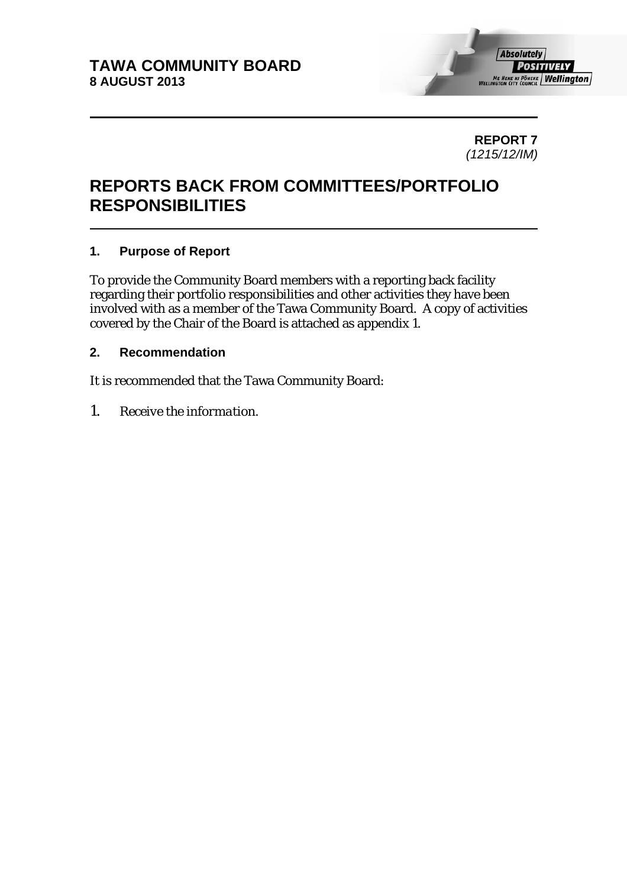

**REPORT 7**  *(1215/12/IM)* 

# **REPORTS BACK FROM COMMITTEES/PORTFOLIO RESPONSIBILITIES**

## **1. Purpose of Report**

To provide the Community Board members with a reporting back facility regarding their portfolio responsibilities and other activities they have been involved with as a member of the Tawa Community Board. A copy of activities covered by the Chair of the Board is attached as appendix 1.

## **2. Recommendation**

It is recommended that the Tawa Community Board:

*1. Receive the information.*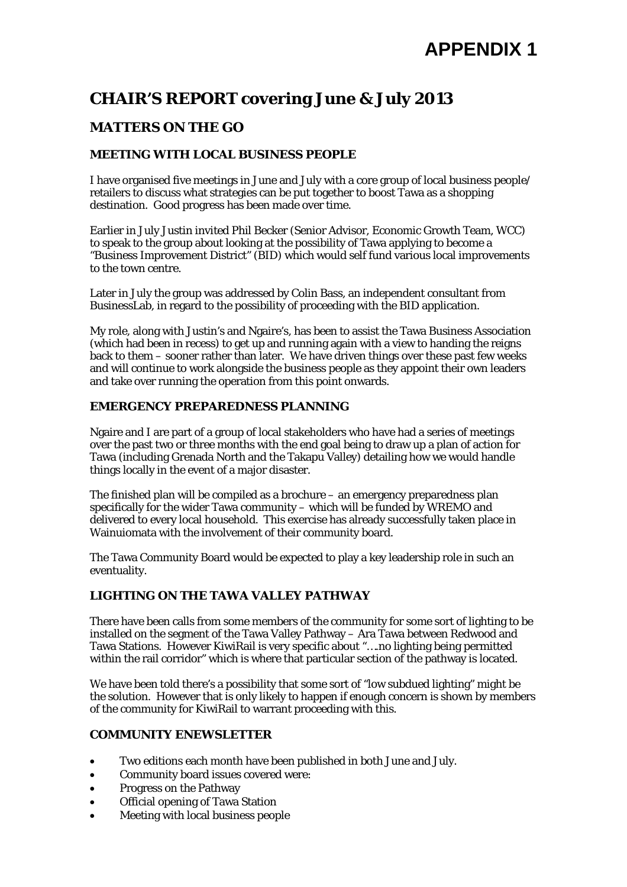# **CHAIR'S REPORT covering June & July 2013**

# **MATTERS ON THE GO**

### **MEETING WITH LOCAL BUSINESS PEOPLE**

I have organised five meetings in June and July with a core group of local business people/ retailers to discuss what strategies can be put together to boost Tawa as a shopping destination. Good progress has been made over time.

Earlier in July Justin invited Phil Becker (Senior Advisor, Economic Growth Team, WCC) to speak to the group about looking at the possibility of Tawa applying to become a "Business Improvement District" (BID) which would self fund various local improvements to the town centre.

Later in July the group was addressed by Colin Bass, an independent consultant from BusinessLab, in regard to the possibility of proceeding with the BID application.

My role, along with Justin's and Ngaire's, has been to assist the Tawa Business Association (which had been in recess) to get up and running again with a view to handing the reigns back to them – sooner rather than later. We have driven things over these past few weeks and will continue to work alongside the business people as they appoint their own leaders and take over running the operation from this point onwards.

### **EMERGENCY PREPAREDNESS PLANNING**

Ngaire and I are part of a group of local stakeholders who have had a series of meetings over the past two or three months with the end goal being to draw up a plan of action for Tawa (including Grenada North and the Takapu Valley) detailing how we would handle things locally in the event of a major disaster.

The finished plan will be compiled as a brochure – an emergency preparedness plan specifically for the wider Tawa community – which will be funded by WREMO and delivered to every local household. This exercise has already successfully taken place in Wainuiomata with the involvement of their community board.

The Tawa Community Board would be expected to play a key leadership role in such an eventuality.

#### **LIGHTING ON THE TAWA VALLEY PATHWAY**

There have been calls from some members of the community for some sort of lighting to be installed on the segment of the Tawa Valley Pathway – Ara Tawa between Redwood and Tawa Stations. However KiwiRail is very specific about "….no lighting being permitted within the rail corridor" which is where that particular section of the pathway is located.

We have been told there's a possibility that some sort of "low subdued lighting" might be the solution. However that is only likely to happen if enough concern is shown by members of the community for KiwiRail to warrant proceeding with this.

#### **COMMUNITY ENEWSLETTER**

- Two editions each month have been published in both June and July.
- Community board issues covered were:
- Progress on the Pathway
- Official opening of Tawa Station
- Meeting with local business people